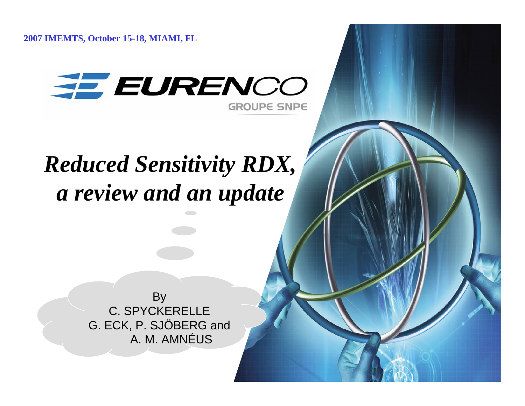**2007 IMEMTS, October 15-18, MIAMI, FL**



# *Reduced Sensitivity RDX, a review and an update*

By C. SPYCKERELLE G. ECK, P. SJÖBERG and A. M. AMNÉUS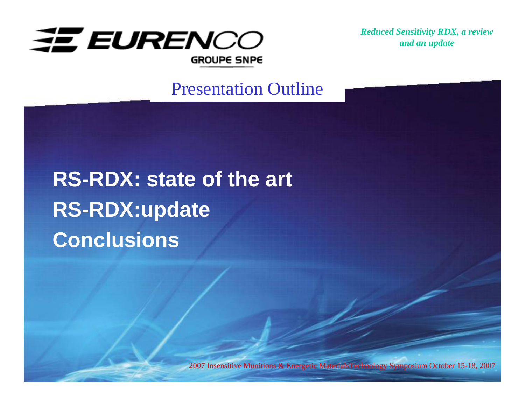

#### Presentation Outline

# **RS-RDX: state of the art RS-RDX:update Conclusions**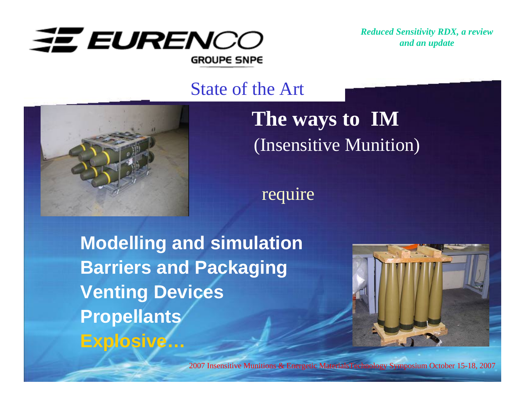

#### State of the Art



# **The ways to IM** (Insensitive Munition)

require

**Modelling and simulation Barriers and Packaging Venting Devices Propellants Explosive…**

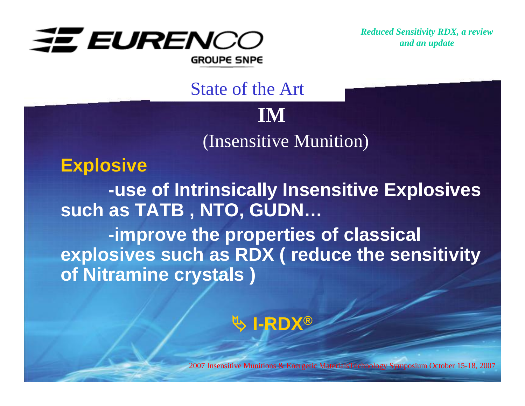

**IM** (Insensitive Munition)

State of the Art

**Explosive**

**-use of Intrinsically Insensitive Explosives such as TATB , NTO, GUDN…**

**-improve the properties of classical explosives such as RDX ( reduce the sensitivity of Nitramine crystals )**

# ª **I-RDX®**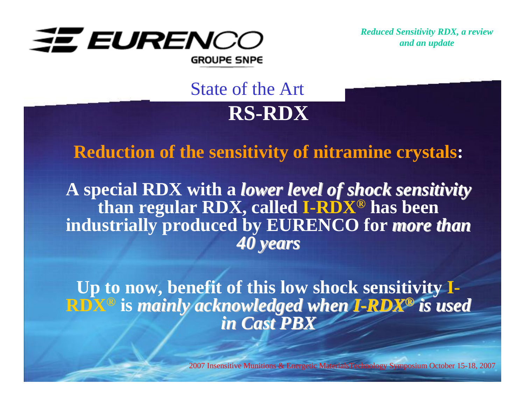

**RS-RDX**State of the Art

#### **Reduction of the sensitivity of nitramine crystals:**

**A special RDX with a** *lower level of shock sensitivity lower level of shock sensitivity* **than regular RDX, called I-RDX® has been**  industrially produced by EURENCO for *more than 40 years 40 years*

**Up to now, benefit of this low shock sensitivity I-RDX<sup>®</sup> is mainly acknowledged when I-RDX<sup>®</sup> is used** *in Cast PBX in Cast PBX*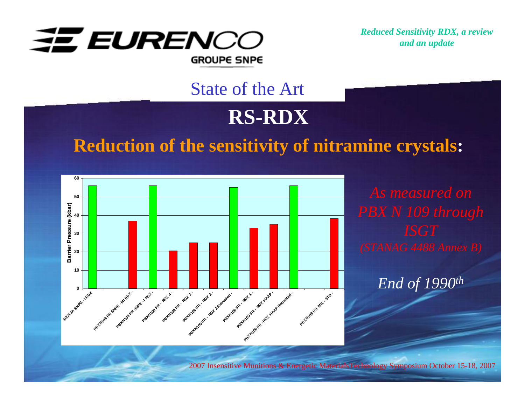

#### State of the Art

# **RS-RDX**

#### **Reduction of the sensitivity of nitramine crystals:**



*End of 1990th*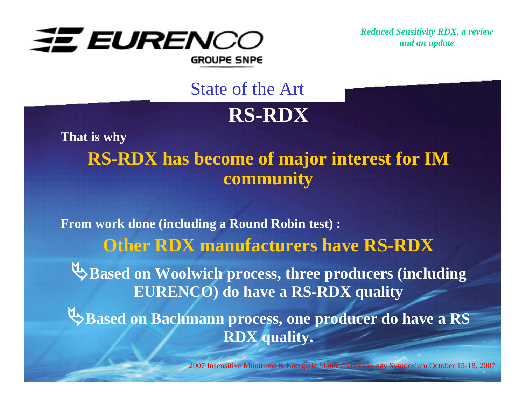

## State of the Art

# **RS-RDX**

**That is why RS-RDX has become of major interest for IM community**

**From work done (including a Round Robin test) : Other RDX manufacturers have RS-RDX** ª**Based on Woolwich process, three producers (including EURENCO) do have a RS-RDX quality** ª**Based on Bachmann process, one producer do have a RS RDX quality.**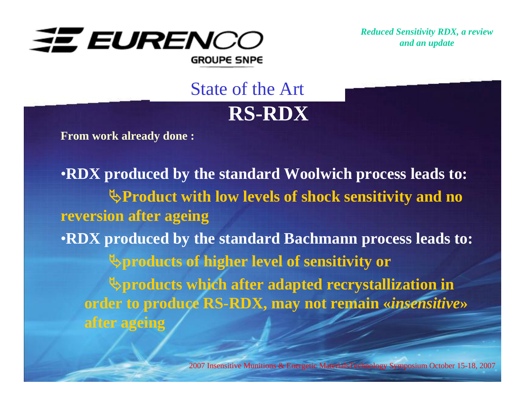

**RS-RDX**State of the Art

**From work already done :**

•**RDX produced by the standard Woolwich process leads to:** ª**Product with low levels of shock sensitivity and no reversion after ageing** •**RDX produced by the standard Bachmann process leads to:** ª**products of higher level of sensitivity or** ª**products which after adapted recrystallization in order to produce RS-RDX, may not remain «***insensitive***» after ageing**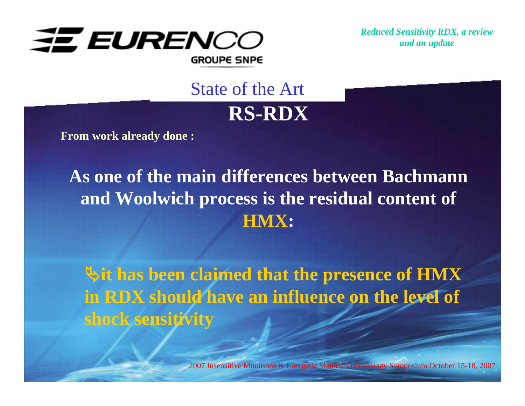

**RS-RDX**State of the Art

**From work already done :**

# **As one of the main differences between Bachmann and Woolwich process is the residual content of HMX:**

ª**it has been claimed that the presence of HMX in RDX should have an influence on the level of shock sensitivity**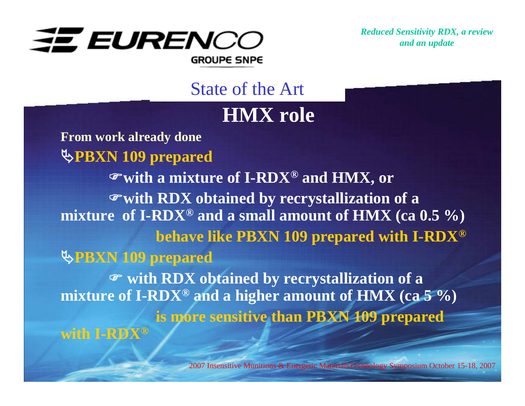

State of the Art

### **HMX role**

**From work already done** ª**PBXN 109 prepared** )**with a mixture of I-RDX® and HMX, or**  )**with RDX obtained by recrystallization of a mixture of I-RDX® and a small amount of HMX (ca 0.5 %) behave like PBXN 109 prepared with I-RDX®** ª**PBXN 109 prepared** ) **with RDX obtained by recrystallization of a mixture of I-RDX® and a higher amount of HMX (ca 5 %) is more sensitive than PBXN 109 prepared with I-RDX®**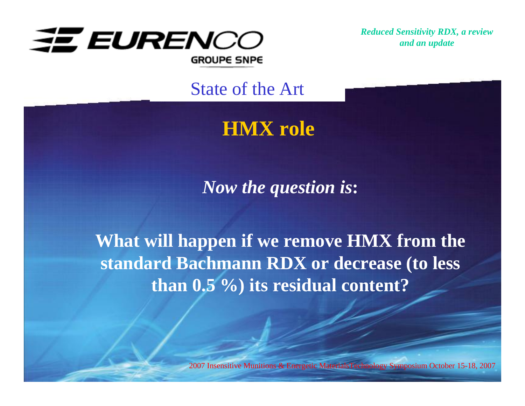

State of the Art

# **HMX role**

*Now the question is***:**

**What will happen if we remove HMX from the standard Bachmann RDX or decrease (to less than 0.5 %) its residual content?**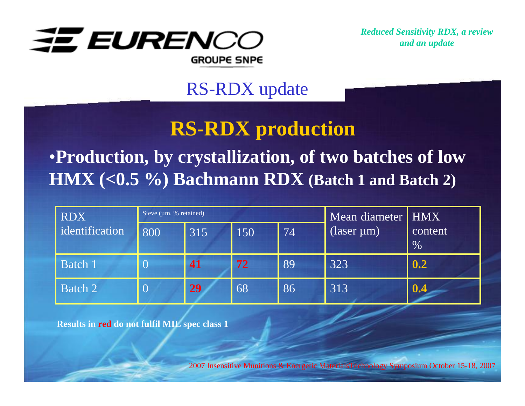

## RS-RDX update

# **RS-RDX production**

# •**Production, by crystallization, of two batches of low HMX (<0.5 %) Bachmann RDX (Batch 1 and Batch 2)**

| <b>RDX</b>     | Sieve $(\mu m, %$ retained) |     |     |                 | Mean diameter HMX                   |                 |  |
|----------------|-----------------------------|-----|-----|-----------------|-------------------------------------|-----------------|--|
| identification | 800                         | 315 | 150 | $\overline{7}4$ | $\sqrt{(\text{laser }\mu\text{m})}$ | content<br>$\%$ |  |
| <b>Batch 1</b> |                             | 41  | 72  | 89              | 323                                 | 0.2             |  |
| Batch 2        |                             | 29  | 68  | 86              | 313                                 | 0.4             |  |

**Results in red do not fulfil MIL spec class 1**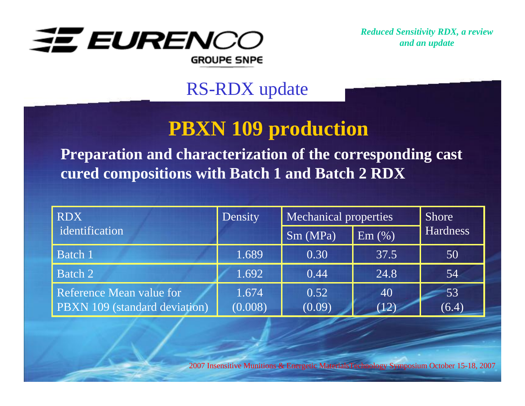

## RS-RDX update

# **PBXN 109 production**

**Preparation and characterization of the corresponding cast cured compositions with Batch 1 and Batch 2 RDX**

| <b>RDX</b>                                                       | Density          | <b>Mechanical properties</b> | <b>Shore</b> |                 |
|------------------------------------------------------------------|------------------|------------------------------|--------------|-----------------|
| identification                                                   |                  | Sm(MPa)                      | Em(%)        | <b>Hardness</b> |
| Batch 1                                                          | 1.689            | 0.30                         | 37.5         | 50              |
| Batch 2                                                          | 1.692            | 0.44                         | 24.8         | 54              |
| <b>Reference Mean value for</b><br>PBXN 109 (standard deviation) | 1.674<br>(0.008) | 0.52<br>(0.09)               | 40<br>(12)   | 53<br>(6.4)     |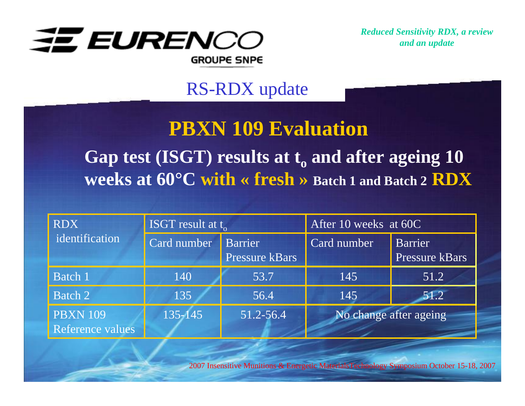

## RS-RDX update

# **PBXN 109 Evaluation**

# Gap test (ISGT) results at t<sub>o</sub> and after ageing 10 **weeks at 60°C with « fresh » Batch 1 and Batch 2 RDX**

| <b>RDX</b>                          | ISGT result at $t_{ol}$ |                                         | After 10 weeks at 60C  |                                         |
|-------------------------------------|-------------------------|-----------------------------------------|------------------------|-----------------------------------------|
| identification                      | Card number             | <b>Barrier</b><br><b>Pressure kBars</b> | Card number            | <b>Barrier</b><br><b>Pressure kBars</b> |
| <b>Batch 1</b>                      | 140                     | 53.7                                    | 145                    | 51.2                                    |
| Batch 2                             | 135                     | 56.4                                    | 145                    | 51.2                                    |
| <b>PBXN 109</b><br>Reference values | $135 - 145$             | 51.2-56.4                               | No change after ageing |                                         |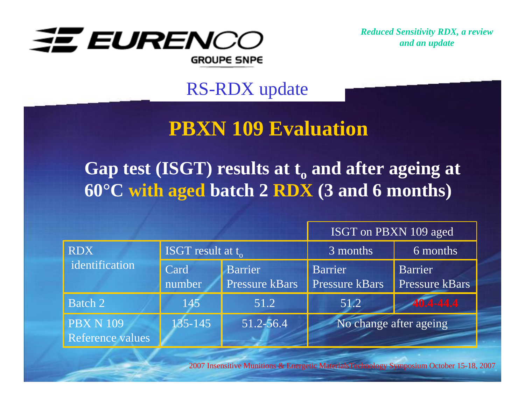

RS-RDX update

# **PBXN 109 Evaluation**

Gap test (ISGT) results at t<sub>0</sub> and after ageing at **60°C with aged batch 2 RDX (3 and 6 months)**

|                              |                      |                | ISGT on PBXN 109 aged  |                |  |
|------------------------------|----------------------|----------------|------------------------|----------------|--|
| <b>RDX</b><br>identification | ISGT result at $t_0$ |                | 3 months               | 6 months       |  |
|                              | Card                 | <b>Barrier</b> | <b>Barrier</b>         | Barrier        |  |
|                              | number               | Pressure kBars | <b>Pressure kBars</b>  | Pressure kBars |  |
| Batch 2                      | 145                  | 51.2           | 51.2                   | 40.4-44.4      |  |
| <b>PBX N 109</b>             | 135-145              | 51.2-56.4      | No change after ageing |                |  |
| Reference values             |                      |                |                        |                |  |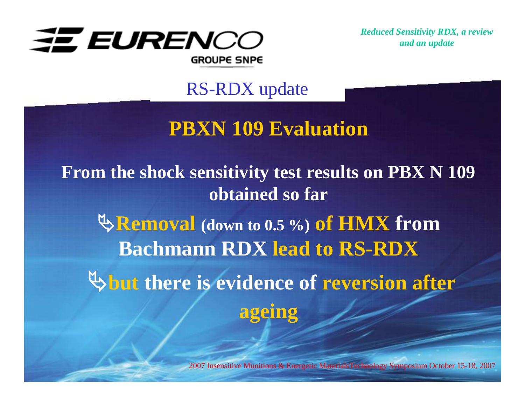

RS-RDX update

# **PBXN 109 Evaluation**

**From the shock sensitivity test results on PBX N 109 obtained so far**

ª**Removal (down to 0.5 %) of HMX from Bachmann RDX lead to RS-RDX**

 $\upphi$  but there is evidence of reversion after **ageing**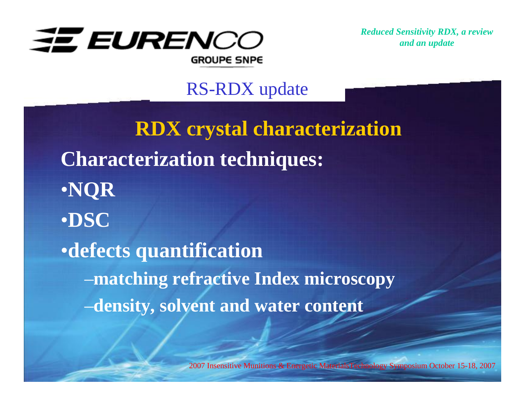

#### RS-RDX update

**RDX crystal characterization Characterization techniques:** •**NQR** •**DSC**•**defects quantification** –**matching refractive Index microscopy** –**density, solvent and water content**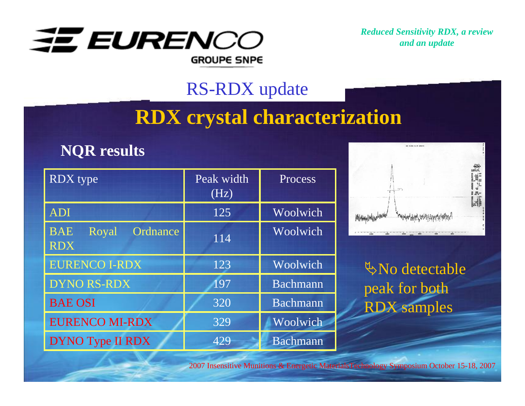

### RS-RDX update

# **RDX crystal characterization**

#### **NQR results**

| RDX type                                      | Peak width<br>(Hz) | Process  |
|-----------------------------------------------|--------------------|----------|
| <b>ADI</b>                                    | 125                | Woolwich |
| <b>BAE</b><br>Ordnance<br>Royal<br><b>RDX</b> | $11\overline{4}$   | Woolwich |
| <b>EURENCO I-RDX</b>                          | 123                | Woolwich |
| <b>DYNO RS-RDX</b>                            | 197                | Bachmann |
| <b>BAE OSI</b>                                | 320                | Bachmann |
| <b>EURENCO MI-RDX</b>                         | 329                | Woolwich |
| DYNO Type II RDX                              | 429                | Bachmann |



ªNo detectable peak for both RDX samples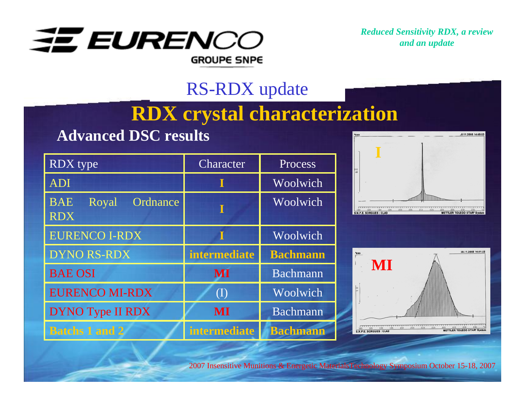

## RS-RDX update

# **RDX crystal characterization**

#### **Advanced DSC results**

| <b>RDX</b> type                               | Character              | Process         |
|-----------------------------------------------|------------------------|-----------------|
| <b>ADI</b>                                    |                        | Woolwich        |
| <b>BAE</b><br>Ordnance<br>Royal<br><b>RDX</b> |                        | Woolwich        |
| <b>EURENCO I-RDX</b>                          |                        | Woolwich        |
| <b>DYNO RS-RDX</b>                            | <b>intermediate</b>    | <b>Bachmann</b> |
| <b>BAE OSI</b>                                | MI                     | Bachmann        |
| <b>EURENCO MI-RDX</b>                         | $\left( \Gamma\right)$ | Woolwich        |
| <b>DYNO Type II RDX</b>                       | MI                     | Bachmann        |
| <b>Batchs 1 and 2</b>                         | <b>intermediate</b>    | <b>Bachmann</b> |



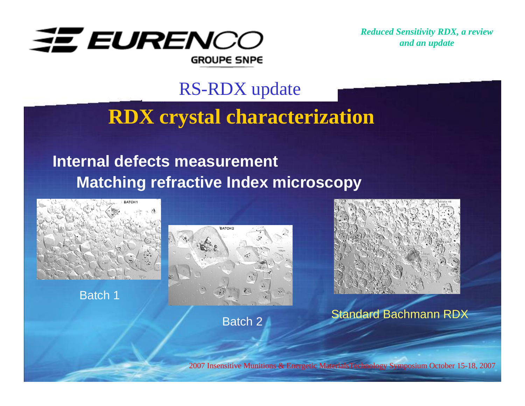

#### RS-RDX update

# **RDX crystal characterization**

#### **Internal defects measurement Matching refractive Index microscopy**



Batch 1







Standard Bachmann RDX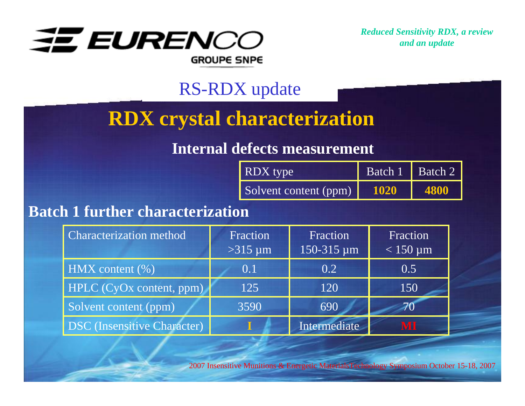

## RS-RDX update

# **RDX crystal characterization**

#### **Internal defects measurement**

| RDX type              | Batch 1 Batch 2 |      |
|-----------------------|-----------------|------|
| Solvent content (ppm) | 1020            | 4800 |

#### **Batch 1 further characterization**

| <b>Characterization method</b>     | Fraction<br>$>315 \mu m$ | Fraction<br>150-315 µm | Fraction<br>$< 150 \mu m$ |
|------------------------------------|--------------------------|------------------------|---------------------------|
| $HMX$ content $(\% )$              | 0.1                      | 0.2                    | 0.5                       |
| HPLC (CyOx content, ppm)           | 125                      | 120                    | 150                       |
| Solvent content (ppm)              | 3590                     | 690                    |                           |
| <b>DSC</b> (Insensitive Character) |                          | Intermediate           | MI                        |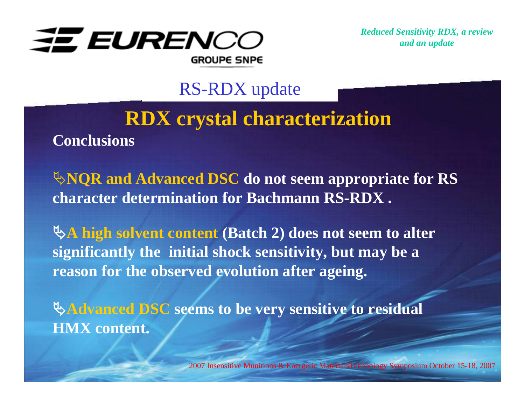

RS-RDX update

# **RDX crystal characterization Conclusions**

ª**NQR and Advanced DSC do not seem appropriate for RS character determination for Bachmann RS-RDX .**

ª**A high solvent content (Batch 2) does not seem to alter significantly the initial shock sensitivity, but may be a reason for the observed evolution after ageing.** 

ª**Advanced DSC seems to be very sensitive to residual HMX content.**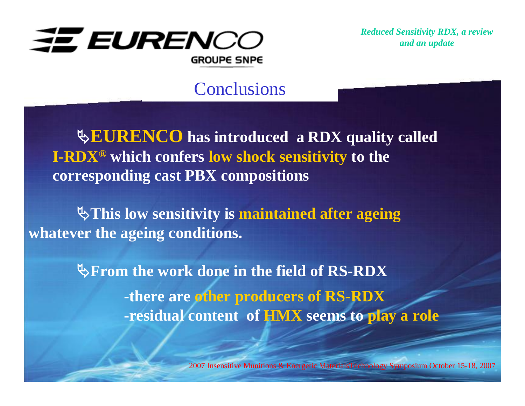

#### **Conclusions**

ª**EURENCO has introduced a RDX quality called I-RDX® which confers low shock sensitivity to the corresponding cast PBX compositions**

ª**This low sensitivity is maintained after ageing whatever the ageing conditions.**

> *<u><b>PFrom the work done in the field of RS-RDX</del>*</u> **-there are other producers of RS-RDX -residual content of HMX seems to play a role**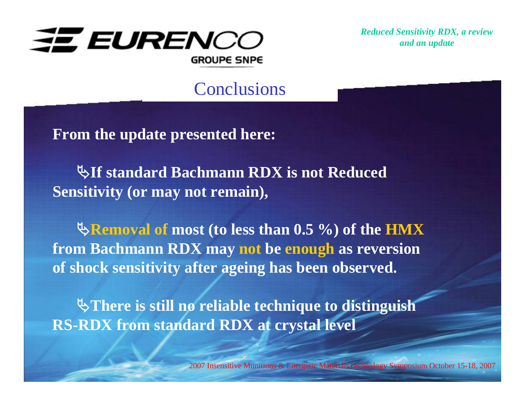

**Conclusions** 

**From the update presented here:**

ª**If standard Bachmann RDX is not Reduced Sensitivity (or may not remain),**

ª**Removal of most (to less than 0.5 %) of the HMX from Bachmann RDX may not be enough as reversion of shock sensitivity after ageing has been observed.**

ª**There is still no reliable technique to distinguish RS-RDX from standard RDX at crystal level**